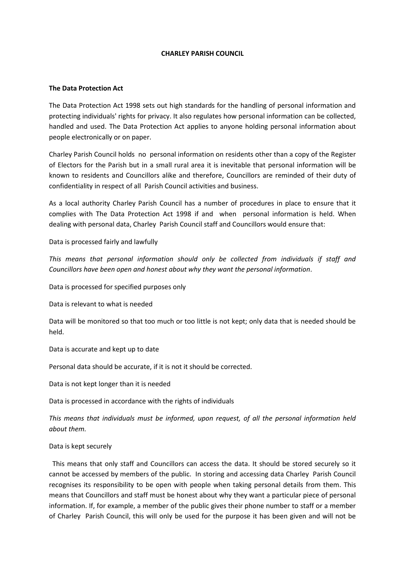#### **CHARLEY PARISH COUNCIL**

#### **The Data Protection Act**

The Data Protection Act 1998 sets out high standards for the handling of personal information and protecting individuals' rights for privacy. It also regulates how personal information can be collected, handled and used. The Data Protection Act applies to anyone holding personal information about people electronically or on paper.

Charley Parish Council holds no personal information on residents other than a copy of the Register of Electors for the Parish but in a small rural area it is inevitable that personal information will be known to residents and Councillors alike and therefore, Councillors are reminded of their duty of confidentiality in respect of all Parish Council activities and business.

As a local authority Charley Parish Council has a number of procedures in place to ensure that it complies with The Data Protection Act 1998 if and when personal information is held. When dealing with personal data, Charley Parish Council staff and Councillors would ensure that:

### Data is processed fairly and lawfully

*This means that personal information should only be collected from individuals if staff and Councillors have been open and honest about why they want the personal information*.

Data is processed for specified purposes only

Data is relevant to what is needed

Data will be monitored so that too much or too little is not kept; only data that is needed should be held.

Data is accurate and kept up to date

Personal data should be accurate, if it is not it should be corrected.

Data is not kept longer than it is needed

Data is processed in accordance with the rights of individuals

*This means that individuals must be informed, upon request, of all the personal information held about them.* 

### Data is kept securely

 This means that only staff and Councillors can access the data. It should be stored securely so it cannot be accessed by members of the public. In storing and accessing data Charley Parish Council recognises its responsibility to be open with people when taking personal details from them. This means that Councillors and staff must be honest about why they want a particular piece of personal information. If, for example, a member of the public gives their phone number to staff or a member of Charley Parish Council, this will only be used for the purpose it has been given and will not be